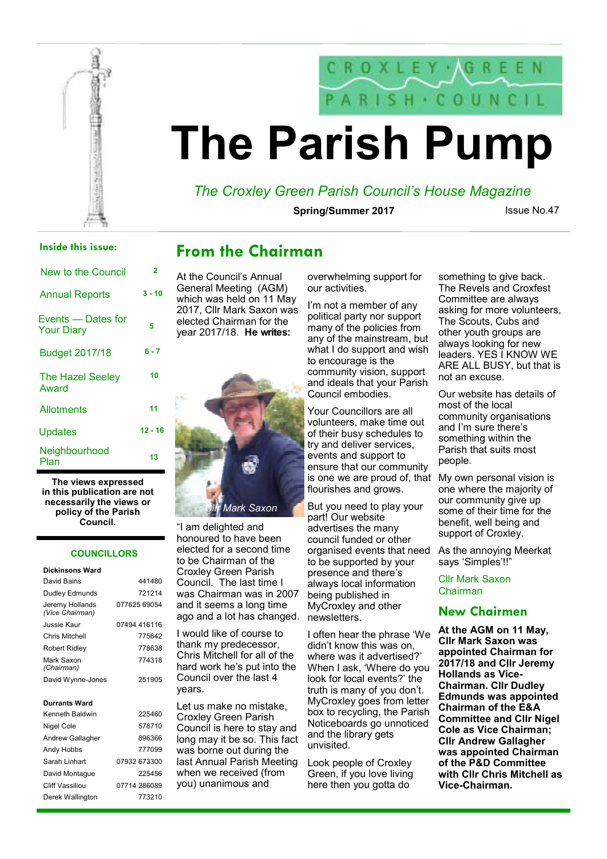

# $SH \cdot CO UN C$ **The Parish Pump**

## *The Croxley Green Parish Council's House Magazine*

**Spring/Summer 2017** 

Issue No.47

### **Inside this issue:**

| New to the Council                      | 2         |
|-----------------------------------------|-----------|
| <b>Annual Reports</b>                   | $3 - 10$  |
| Events — Dates for<br><b>Your Diary</b> | 5         |
| <b>Budget 2017/18</b>                   | $6 - 7$   |
| The Hazel Seeley<br>Award               | 10        |
| Allotments                              | 11        |
| Updates                                 | $12 - 16$ |
| Neighbourhood<br>Plan                   | 13        |

**The views expressed in this publication are not necessarily the views or policy of the Parish Council.** 

#### **COUNCILLORS**

| 441480       |
|--------------|
| 721214       |
| 077625 69054 |
| 07494 416116 |
| 775642       |
| 778638       |
| 774318       |
| 251905       |
|              |
|              |
| 225460       |
| 578710       |
| 896366       |
| 777099       |
| 07932 673300 |
| 225456       |
| 07714 286089 |
|              |

## **From the Chairman**

At the Council's Annual General Meeting (AGM) which was held on 11 May 2017, Cllr Mark Saxon was elected Chairman for the year 2017/18. **He writes:**



"I am delighted and honoured to have been elected for a second time to be Chairman of the Croxley Green Parish Council. The last time I was Chairman was in 2007 and it seems a long time ago and a lot has changed.

I would like of course to thank my predecessor, Chris Mitchell for all of the hard work he's put into the Council over the last 4 years.

Let us make no mistake, Croxley Green Parish Council is here to stay and long may it be so. This fact was borne out during the last Annual Parish Meeting when we received (from you) unanimous and

overwhelming support for our activities.

I'm not a member of any political party nor support many of the policies from any of the mainstream, but what I do support and wish to encourage is the community vision, support and ideals that your Parish Council embodies.

Your Councillors are all volunteers, make time out of their busy schedules to try and deliver services, events and support to ensure that our community is one we are proud of, that flourishes and grows.

But you need to play your part! Our website advertises the many council funded or other organised events that need to be supported by your presence and there's always local information being published in MyCroxley and other newsletters.

I often hear the phrase 'We didn't know this was on, where was it advertised?' When I ask, 'Where do you look for local events?' the truth is many of you don't. MyCroxley goes from letter box to recycling, the Parish Noticeboards go unnoticed and the library gets unvisited.

Look people of Croxley Green, if you love living here then you gotta do

something to give back. The Revels and Croxfest Committee are always asking for more volunteers, The Scouts, Cubs and other youth groups are always looking for new leaders. YES I KNOW WE ARE ALL BUSY, but that is not an excuse.

Our website has details of most of the local community organisations and I'm sure there's something within the Parish that suits most people.

My own personal vision is one where the majority of our community give up some of their time for the benefit, well being and support of Croxley.

As the annoying Meerkat says 'Simples'!!"

Cllr Mark Saxon Chairman

### **New Chairmen**

**At the AGM on 11 May, Cllr Mark Saxon was appointed Chairman for 2017/18 and Cllr Jeremy Hollands as Vice-Chairman. Cllr Dudley Edmunds was appointed Chairman of the E&A Committee and Cllr Nigel Cole as Vice Chairman; Cllr Andrew Gallagher was appointed Chairman of the P&D Committee with Cllr Chris Mitchell as Vice-Chairman.**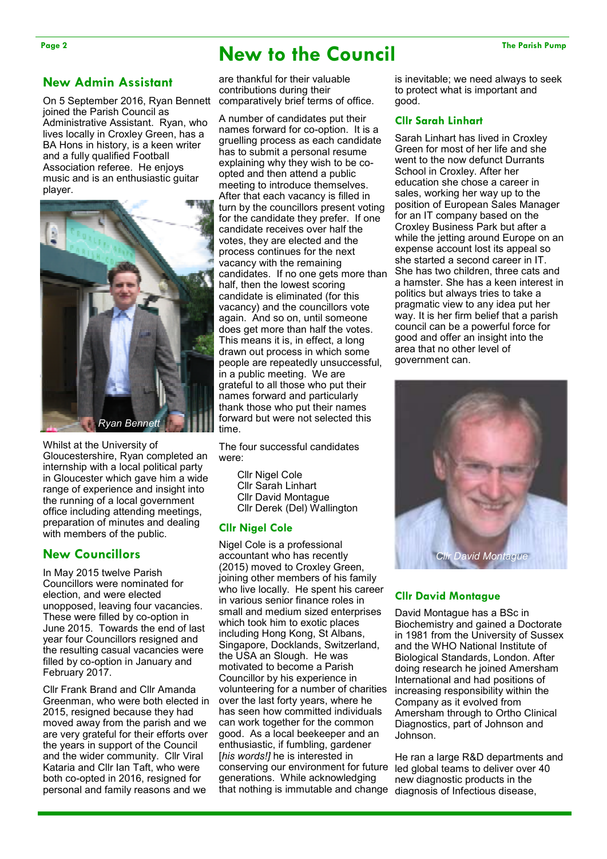## Page 2 The Parish Pump **New to the Council** The Parish Pump

### **New Admin Assistant**

On 5 September 2016, Ryan Bennett joined the Parish Council as Administrative Assistant. Ryan, who lives locally in Croxley Green, has a BA Hons in history, is a keen writer and a fully qualified Football Association referee. He enjoys music and is an enthusiastic guitar player.



Whilst at the University of Gloucestershire, Ryan completed an internship with a local political party in Gloucester which gave him a wide range of experience and insight into the running of a local government office including attending meetings, preparation of minutes and dealing with members of the public.

### **New Councillors**

In May 2015 twelve Parish Councillors were nominated for election, and were elected unopposed, leaving four vacancies. These were filled by co-option in June 2015. Towards the end of last year four Councillors resigned and the resulting casual vacancies were filled by co-option in January and February 2017.

Cllr Frank Brand and Cllr Amanda Greenman, who were both elected in 2015, resigned because they had moved away from the parish and we are very grateful for their efforts over the years in support of the Council and the wider community. Cllr Viral Kataria and Cllr Ian Taft, who were both co-opted in 2016, resigned for personal and family reasons and we

are thankful for their valuable contributions during their comparatively brief terms of office.

A number of candidates put their names forward for co-option. It is a gruelling process as each candidate has to submit a personal resume explaining why they wish to be coopted and then attend a public meeting to introduce themselves. After that each vacancy is filled in turn by the councillors present voting for the candidate they prefer. If one candidate receives over half the votes, they are elected and the process continues for the next vacancy with the remaining candidates. If no one gets more than half, then the lowest scoring candidate is eliminated (for this vacancy) and the councillors vote again. And so on, until someone does get more than half the votes. This means it is, in effect, a long drawn out process in which some people are repeatedly unsuccessful, in a public meeting. We are grateful to all those who put their names forward and particularly thank those who put their names forward but were not selected this time.

The four successful candidates were:

> Cllr Nigel Cole Cllr Sarah Linhart Cllr David Montague Cllr Derek (Del) Wallington

#### **Cllr Nigel Cole**

Nigel Cole is a professional accountant who has recently (2015) moved to Croxley Green, joining other members of his family who live locally. He spent his career in various senior finance roles in small and medium sized enterprises which took him to exotic places including Hong Kong, St Albans, Singapore, Docklands, Switzerland, the USA an Slough. He was motivated to become a Parish Councillor by his experience in volunteering for a number of charities over the last forty years, where he has seen how committed individuals can work together for the common good. As a local beekeeper and an enthusiastic, if fumbling, gardener [*his words!]* he is interested in conserving our environment for future generations. While acknowledging that nothing is immutable and change diagnosis of Infectious disease,

is inevitable; we need always to seek to protect what is important and good.

#### **Cllr Sarah Linhart**

Sarah Linhart has lived in Croxley Green for most of her life and she went to the now defunct Durrants School in Croxley. After her education she chose a career in sales, working her way up to the position of European Sales Manager for an IT company based on the Croxley Business Park but after a while the jetting around Europe on an expense account lost its appeal so she started a second career in IT. She has two children, three cats and a hamster. She has a keen interest in politics but always tries to take a pragmatic view to any idea put her way. It is her firm belief that a parish council can be a powerful force for good and offer an insight into the area that no other level of government can.



### **Cllr David Montague**

David Montague has a BSc in Biochemistry and gained a Doctorate in 1981 from the University of Sussex and the WHO National Institute of Biological Standards, London. After doing research he joined Amersham International and had positions of increasing responsibility within the Company as it evolved from Amersham through to Ortho Clinical Diagnostics, part of Johnson and Johnson.

He ran a large R&D departments and led global teams to deliver over 40 new diagnostic products in the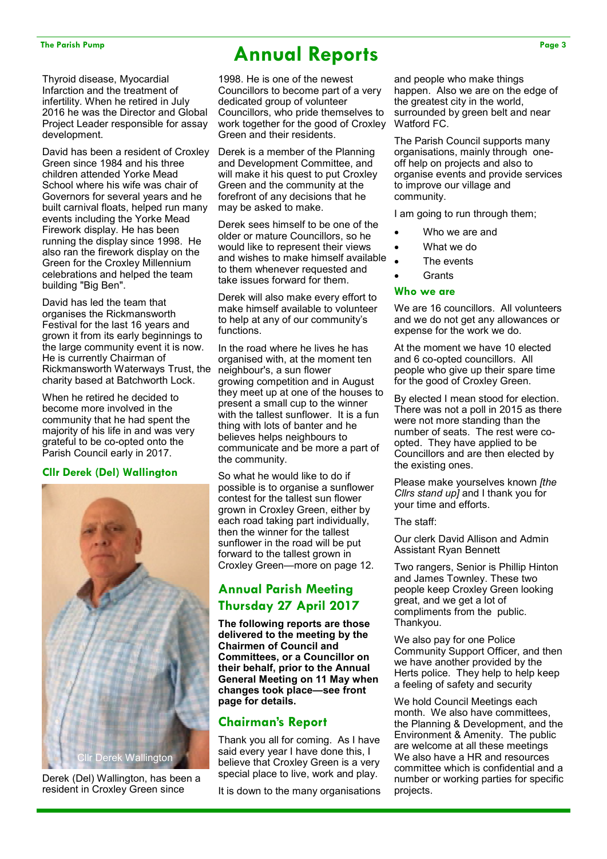Thyroid disease, Myocardial Infarction and the treatment of infertility. When he retired in July 2016 he was the Director and Global Project Leader responsible for assay development.

David has been a resident of Croxley Green since 1984 and his three children attended Yorke Mead School where his wife was chair of Governors for several years and he built carnival floats, helped run many events including the Yorke Mead Firework display. He has been running the display since 1998. He also ran the firework display on the Green for the Croxley Millennium celebrations and helped the team building "Big Ben".

David has led the team that organises the Rickmansworth Festival for the last 16 years and grown it from its early beginnings to the large community event it is now. He is currently Chairman of Rickmansworth Waterways Trust, the charity based at Batchworth Lock.

When he retired he decided to become more involved in the community that he had spent the majority of his life in and was very grateful to be co-opted onto the Parish Council early in 2017.

### **Cllr Derek (Del) Wallington**



Derek (Del) Wallington, has been a resident in Croxley Green since

## The Parish Pump Page 3

1998. He is one of the newest Councillors to become part of a very dedicated group of volunteer Councillors, who pride themselves to work together for the good of Croxley Green and their residents.

Derek is a member of the Planning and Development Committee, and will make it his quest to put Croxley Green and the community at the forefront of any decisions that he may be asked to make.

Derek sees himself to be one of the older or mature Councillors, so he would like to represent their views and wishes to make himself available to them whenever requested and take issues forward for them.

Derek will also make every effort to make himself available to volunteer to help at any of our community's functions.

In the road where he lives he has organised with, at the moment ten neighbour's, a sun flower growing competition and in August they meet up at one of the houses to present a small cup to the winner with the tallest sunflower. It is a fun thing with lots of banter and he believes helps neighbours to communicate and be more a part of the community.

So what he would like to do if possible is to organise a sunflower contest for the tallest sun flower grown in Croxley Green, either by each road taking part individually, then the winner for the tallest sunflower in the road will be put forward to the tallest grown in Croxley Green—more on page 12.

## **Annual Parish Meeting Thursday 27 April 2017**

**The following reports are those delivered to the meeting by the Chairmen of Council and Committees, or a Councillor on their behalf, prior to the Annual General Meeting on 11 May when changes took place—see front page for details.** 

## **Chairman's Report**

Thank you all for coming. As I have said every year I have done this, I believe that Croxley Green is a very special place to live, work and play.

It is down to the many organisations

and people who make things happen. Also we are on the edge of the greatest city in the world, surrounded by green belt and near Watford FC.

The Parish Council supports many organisations, mainly through oneoff help on projects and also to organise events and provide services to improve our village and community.

I am going to run through them;

- Who we are and
- What we do
- The events
- **Grants**

### **Who we are**

We are 16 councillors. All volunteers and we do not get any allowances or expense for the work we do.

At the moment we have 10 elected and 6 co-opted councillors. All people who give up their spare time for the good of Croxley Green.

By elected I mean stood for election. There was not a poll in 2015 as there were not more standing than the number of seats. The rest were coopted. They have applied to be Councillors and are then elected by the existing ones.

Please make yourselves known *[the Cllrs stand up]* and I thank you for your time and efforts.

The staff:

Our clerk David Allison and Admin Assistant Ryan Bennett

Two rangers, Senior is Phillip Hinton and James Townley. These two people keep Croxley Green looking great, and we get a lot of compliments from the public. Thankyou.

We also pay for one Police Community Support Officer, and then we have another provided by the Herts police. They help to help keep a feeling of safety and security

We hold Council Meetings each month. We also have committees. the Planning & Development, and the Environment & Amenity. The public are welcome at all these meetings We also have a HR and resources committee which is confidential and a number or working parties for specific projects.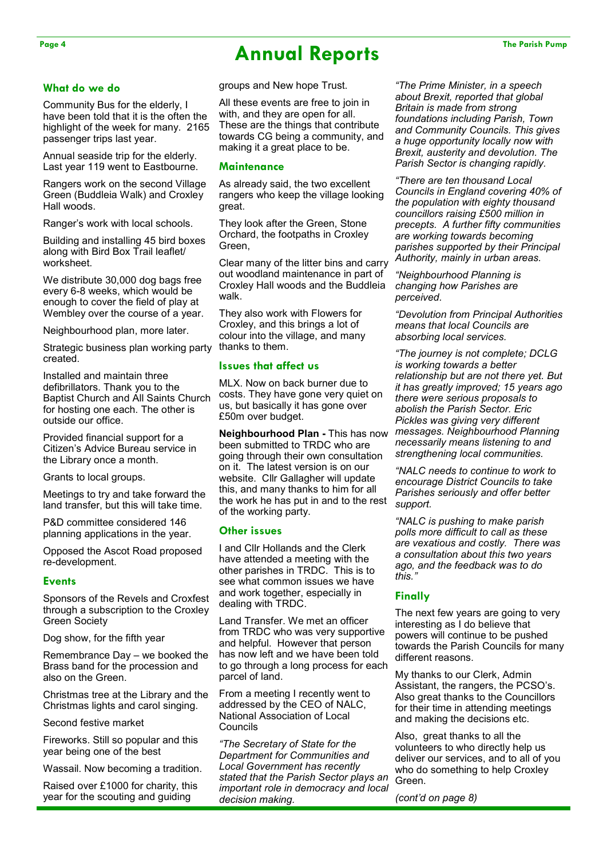## Page 4 The Parish Pump **Annual Reports** The Parish Pump

#### **What do we do**

Community Bus for the elderly, I have been told that it is the often the highlight of the week for many. 2165 passenger trips last year.

Annual seaside trip for the elderly. Last year 119 went to Eastbourne.

Rangers work on the second Village Green (Buddleia Walk) and Croxley Hall woods.

Ranger's work with local schools.

Building and installing 45 bird boxes along with Bird Box Trail leaflet/ worksheet.

We distribute 30,000 dog bags free every 6-8 weeks, which would be enough to cover the field of play at Wembley over the course of a year.

Neighbourhood plan, more later.

Strategic business plan working party created.

Installed and maintain three defibrillators. Thank you to the Baptist Church and All Saints Church for hosting one each. The other is outside our office.

Provided financial support for a Citizen's Advice Bureau service in the Library once a month.

Grants to local groups.

Meetings to try and take forward the land transfer, but this will take time.

P&D committee considered 146 planning applications in the year.

Opposed the Ascot Road proposed re-development.

#### **Events**

Sponsors of the Revels and Croxfest through a subscription to the Croxley Green Society

Dog show, for the fifth year

Remembrance Day – we booked the Brass band for the procession and also on the Green.

Christmas tree at the Library and the Christmas lights and carol singing.

Second festive market

Fireworks. Still so popular and this year being one of the best

Wassail. Now becoming a tradition.

Raised over £1000 for charity, this year for the scouting and guiding

groups and New hope Trust.

All these events are free to join in with, and they are open for all. These are the things that contribute towards CG being a community, and making it a great place to be.

#### **Maintenance**

As already said, the two excellent rangers who keep the village looking great.

They look after the Green, Stone Orchard, the footpaths in Croxley Green,

Clear many of the litter bins and carry out woodland maintenance in part of Croxley Hall woods and the Buddleia walk.

They also work with Flowers for Croxley, and this brings a lot of colour into the village, and many thanks to them.

#### **Issues that affect us**

MLX. Now on back burner due to costs. They have gone very quiet on us, but basically it has gone over £50m over budget.

**Neighbourhood Plan -** This has now been submitted to TRDC who are going through their own consultation on it. The latest version is on our website. Cllr Gallagher will update this, and many thanks to him for all the work he has put in and to the rest of the working party.

#### **Other issues**

I and Cllr Hollands and the Clerk have attended a meeting with the other parishes in TRDC. This is to see what common issues we have and work together, especially in dealing with TRDC.

Land Transfer. We met an officer from TRDC who was very supportive and helpful. However that person has now left and we have been told to go through a long process for each parcel of land.

From a meeting I recently went to addressed by the CEO of NALC, National Association of Local Councils

*"The Secretary of State for the Department for Communities and Local Government has recently stated that the Parish Sector plays an important role in democracy and local decision making.* 

*"The Prime Minister, in a speech about Brexit, reported that global Britain is made from strong foundations including Parish, Town and Community Councils. This gives a huge opportunity locally now with Brexit, austerity and devolution. The Parish Sector is changing rapidly.* 

*"There are ten thousand Local Councils in England covering 40% of the population with eighty thousand councillors raising £500 million in precepts. A further fifty communities are working towards becoming parishes supported by their Principal Authority, mainly in urban areas.* 

*"Neighbourhood Planning is changing how Parishes are perceived.* 

*"Devolution from Principal Authorities means that local Councils are absorbing local services.* 

*"The journey is not complete; DCLG is working towards a better relationship but are not there yet. But it has greatly improved; 15 years ago there were serious proposals to abolish the Parish Sector. Eric Pickles was giving very different messages. Neighbourhood Planning necessarily means listening to and strengthening local communities.* 

*"NALC needs to continue to work to encourage District Councils to take Parishes seriously and offer better support.* 

*"NALC is pushing to make parish polls more difficult to call as these are vexatious and costly. There was a consultation about this two years ago, and the feedback was to do this."* 

#### **Finally**

The next few years are going to very interesting as I do believe that powers will continue to be pushed towards the Parish Councils for many different reasons.

My thanks to our Clerk, Admin Assistant, the rangers, the PCSO's. Also great thanks to the Councillors for their time in attending meetings and making the decisions etc.

Also, great thanks to all the volunteers to who directly help us deliver our services, and to all of you who do something to help Croxley Green.

*(cont'd on page 8)*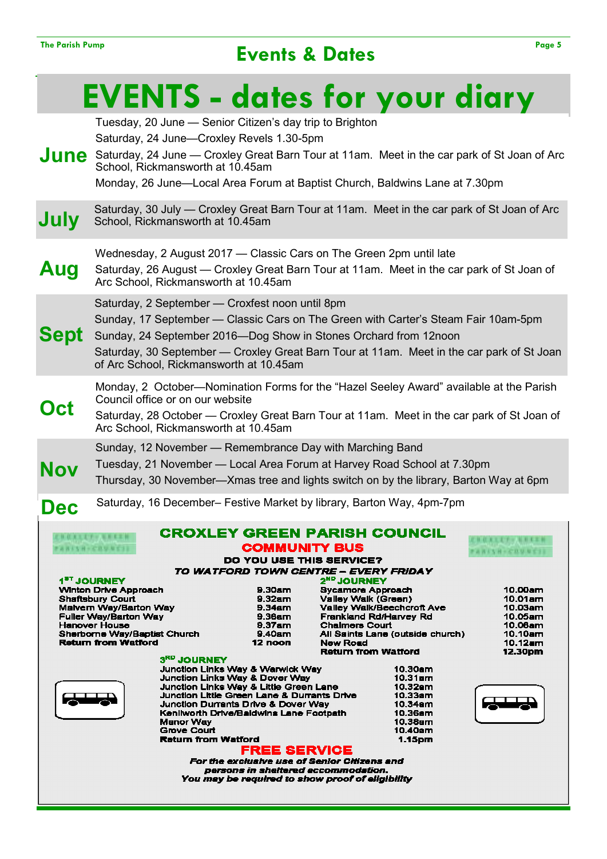## The Parish Pump Page 5

|                                                                                                                                                                                                                                         | <b>EVENTS - dates for your diary</b>                                                                                                                                                                                                                                                                                                              |                                                                                                                                                                                                                                                                                                                                                                                                                                                                                                                |                                                                                                                                                                                       |                                                                                                                                             |                                                                                                                                                                 |
|-----------------------------------------------------------------------------------------------------------------------------------------------------------------------------------------------------------------------------------------|---------------------------------------------------------------------------------------------------------------------------------------------------------------------------------------------------------------------------------------------------------------------------------------------------------------------------------------------------|----------------------------------------------------------------------------------------------------------------------------------------------------------------------------------------------------------------------------------------------------------------------------------------------------------------------------------------------------------------------------------------------------------------------------------------------------------------------------------------------------------------|---------------------------------------------------------------------------------------------------------------------------------------------------------------------------------------|---------------------------------------------------------------------------------------------------------------------------------------------|-----------------------------------------------------------------------------------------------------------------------------------------------------------------|
|                                                                                                                                                                                                                                         | Tuesday, 20 June - Senior Citizen's day trip to Brighton<br>Saturday, 24 June-Croxley Revels 1.30-5pm<br>June Saturday, 24 June — Croxley Great Barn Tour at 11am. Meet in the car park of St Joan of Arc<br>School, Rickmansworth at 10.45am<br>Monday, 26 June—Local Area Forum at Baptist Church, Baldwins Lane at 7.30pm                      |                                                                                                                                                                                                                                                                                                                                                                                                                                                                                                                |                                                                                                                                                                                       |                                                                                                                                             |                                                                                                                                                                 |
| July                                                                                                                                                                                                                                    | Saturday, 30 July — Croxley Great Barn Tour at 11am. Meet in the car park of St Joan of Arc<br>School, Rickmansworth at 10.45am                                                                                                                                                                                                                   |                                                                                                                                                                                                                                                                                                                                                                                                                                                                                                                |                                                                                                                                                                                       |                                                                                                                                             |                                                                                                                                                                 |
| Aug                                                                                                                                                                                                                                     | Wednesday, 2 August 2017 — Classic Cars on The Green 2pm until late<br>Saturday, 26 August — Croxley Great Barn Tour at 11am. Meet in the car park of St Joan of<br>Arc School, Rickmansworth at 10.45am                                                                                                                                          |                                                                                                                                                                                                                                                                                                                                                                                                                                                                                                                |                                                                                                                                                                                       |                                                                                                                                             |                                                                                                                                                                 |
| <b>Sept</b>                                                                                                                                                                                                                             | Saturday, 2 September - Croxfest noon until 8pm<br>Sunday, 17 September — Classic Cars on The Green with Carter's Steam Fair 10am-5pm<br>Sunday, 24 September 2016-Dog Show in Stones Orchard from 12noon<br>Saturday, 30 September - Croxley Great Barn Tour at 11am. Meet in the car park of St Joan<br>of Arc School, Rickmansworth at 10.45am |                                                                                                                                                                                                                                                                                                                                                                                                                                                                                                                |                                                                                                                                                                                       |                                                                                                                                             |                                                                                                                                                                 |
| Oct                                                                                                                                                                                                                                     | Monday, 2 October—Nomination Forms for the "Hazel Seeley Award" available at the Parish<br>Council office or on our website<br>Saturday, 28 October — Croxley Great Barn Tour at 11am. Meet in the car park of St Joan of<br>Arc School, Rickmansworth at 10.45am                                                                                 |                                                                                                                                                                                                                                                                                                                                                                                                                                                                                                                |                                                                                                                                                                                       |                                                                                                                                             |                                                                                                                                                                 |
| Nov                                                                                                                                                                                                                                     | Sunday, 12 November - Remembrance Day with Marching Band<br>Tuesday, 21 November — Local Area Forum at Harvey Road School at 7.30pm<br>Thursday, 30 November—Xmas tree and lights switch on by the library, Barton Way at 6pm                                                                                                                     |                                                                                                                                                                                                                                                                                                                                                                                                                                                                                                                |                                                                                                                                                                                       |                                                                                                                                             |                                                                                                                                                                 |
| <b>Dec</b>                                                                                                                                                                                                                              | Saturday, 16 December– Festive Market by library, Barton Way, 4pm-7pm                                                                                                                                                                                                                                                                             |                                                                                                                                                                                                                                                                                                                                                                                                                                                                                                                |                                                                                                                                                                                       |                                                                                                                                             |                                                                                                                                                                 |
|                                                                                                                                                                                                                                         | <b>BOXIET-BREE</b><br><b>FARISH-COUNSI</b><br>1 <sup>5T</sup> JOURNEY<br><b>Winton Drive Approach</b><br><b>Shaftsbury Court</b><br>Malvern Way/Barton Way<br><b>Fuller Way/Barton Way</b><br><b>Hanover House</b><br>Sherborne Way/Baptist Church<br><b>Return from Watford</b><br>3 <sup>RD</sup> JOURNEY<br><b>Manor Way</b>                   | GROXLEY GREEN PARISH COUNC<br><b>COMMUNITY BUS</b><br>DO YOU USE THIS SERVICE?<br>TO WATFORD TOWN CENTRE - EVERY FRIDAY<br>9.30a <sub>mn</sub><br>$9.32$ am<br>$9.34$ am<br>9.36am<br>9.37am<br>9.40am<br>12 noon<br><b>Junction Links Way &amp; Warwick Way</b><br><b>Junction Links Way &amp; Dover Way</b><br><b>Junction Links Way &amp; Little Green Lane</b><br>Junction Little Green Lane & Durrants Drive<br><b>Junction Durrants Drive &amp; Dover Way</b><br>Kenilworth Drive/Baldwins Lane Footpath | 2 <sup>ND</sup> JOURNEY<br><b>Sycamore Approach</b><br>Valley Walk (Green)<br><b>Frankland Rd/Harvey Rd</b><br><b>Chaimers Court</b><br><b>New Road</b><br><b>Return from Watford</b> | Valley Walk/Beechcroft Ave<br>All Saints Lane (outside church)<br>10.30am<br>10.31am<br>10.32am<br>10.33am<br>10.34am<br>10.36am<br>10.38am | <b><i>B.O.K.L.T. v. M. B.E.T.</i></b><br><b>FARISH-CRUB</b><br>10.00am<br>10.01am<br>10.03 <sub>am</sub><br>10.05am<br>10.08am<br>10.10am<br>10.12am<br>12.30pm |
| <b>Grove Court</b><br>10.40am<br><b>Return from Watford</b><br>1.15pm<br><b>FREE SERVICE</b><br>For the exclusive use of Senior Citizens and<br>persons in sheltered accommodation.<br>You may be required to show proof of eligibility |                                                                                                                                                                                                                                                                                                                                                   |                                                                                                                                                                                                                                                                                                                                                                                                                                                                                                                |                                                                                                                                                                                       |                                                                                                                                             |                                                                                                                                                                 |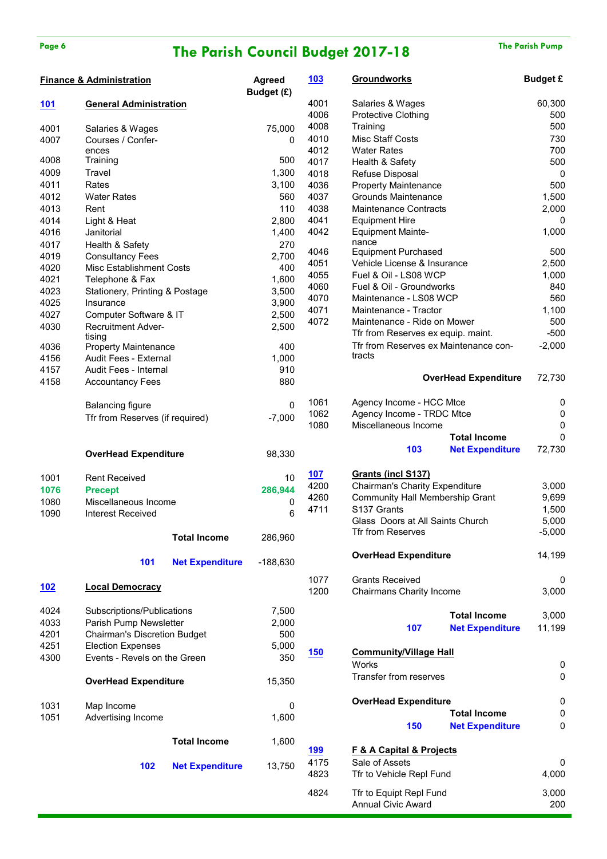## Page 6 **The Parish Council Budget 2017-18** The Parish Pump

|             | <b>Finance &amp; Administration</b>                      |                        | <b>Agreed</b><br>Budget (£) | <u> 103</u> | <b>Groundworks</b>                                   |                             | <b>Budget £</b> |
|-------------|----------------------------------------------------------|------------------------|-----------------------------|-------------|------------------------------------------------------|-----------------------------|-----------------|
| <u> 101</u> | <b>General Administration</b>                            |                        |                             | 4001        | Salaries & Wages                                     |                             | 60,300          |
|             |                                                          |                        |                             | 4006        | Protective Clothing                                  |                             | 500             |
| 4001        | Salaries & Wages                                         |                        | 75,000                      | 4008        | Training                                             |                             | 500             |
| 4007        | Courses / Confer-                                        |                        | 0                           | 4010        | <b>Misc Staff Costs</b>                              |                             | 730             |
|             | ences                                                    |                        |                             | 4012        | <b>Water Rates</b>                                   |                             | 700             |
| 4008        | Training                                                 |                        | 500                         | 4017        | Health & Safety                                      |                             | 500             |
| 4009        | Travel                                                   |                        | 1,300                       | 4018        | Refuse Disposal                                      |                             | $\mathbf 0$     |
| 4011        | Rates                                                    |                        | 3,100                       | 4036        | <b>Property Maintenance</b>                          |                             | 500             |
| 4012        | <b>Water Rates</b>                                       |                        | 560                         | 4037        | <b>Grounds Maintenance</b>                           |                             | 1,500           |
| 4013        | Rent                                                     |                        | 110                         | 4038        | <b>Maintenance Contracts</b>                         |                             | 2,000           |
| 4014        | Light & Heat                                             |                        | 2,800                       | 4041        | <b>Equipment Hire</b>                                |                             | 0               |
| 4016        | Janitorial                                               |                        | 1,400                       | 4042        | <b>Equipment Mainte-</b>                             |                             | 1,000           |
| 4017        | Health & Safety                                          |                        | 270                         |             | nance                                                |                             |                 |
| 4019        | <b>Consultancy Fees</b>                                  |                        | 2,700                       | 4046        | <b>Equipment Purchased</b>                           |                             | 500             |
| 4020        | Misc Establishment Costs                                 |                        | 400                         | 4051        | Vehicle License & Insurance                          |                             | 2,500           |
| 4021        | Telephone & Fax                                          |                        | 1,600                       | 4055        | Fuel & Oil - LS08 WCP                                |                             | 1,000           |
| 4023        | Stationery, Printing & Postage                           |                        | 3,500                       | 4060        | Fuel & Oil - Groundworks                             |                             | 840             |
| 4025        | Insurance                                                |                        | 3,900                       | 4070        | Maintenance - LS08 WCP                               |                             | 560             |
|             |                                                          |                        |                             | 4071        | Maintenance - Tractor                                |                             | 1,100           |
| 4027        | Computer Software & IT                                   |                        | 2,500                       | 4072        | Maintenance - Ride on Mower                          |                             | 500             |
| 4030        | <b>Recruitment Adver-</b>                                |                        | 2,500                       |             | Tfr from Reserves ex equip. maint.                   |                             | $-500$          |
| 4036        | tising<br><b>Property Maintenance</b>                    |                        | 400                         |             | Tfr from Reserves ex Maintenance con-                |                             | $-2,000$        |
| 4156        | Audit Fees - External                                    |                        | 1,000                       |             | tracts                                               |                             |                 |
| 4157        | Audit Fees - Internal                                    |                        | 910                         |             |                                                      |                             |                 |
| 4158        |                                                          |                        | 880                         |             |                                                      | <b>OverHead Expenditure</b> | 72,730          |
|             | <b>Accountancy Fees</b>                                  |                        |                             |             |                                                      |                             |                 |
|             | <b>Balancing figure</b>                                  |                        | $\mathbf{0}$                | 1061        | Agency Income - HCC Mtce                             |                             | 0               |
|             | Tfr from Reserves (if required)                          |                        | $-7,000$                    | 1062        | Agency Income - TRDC Mtce                            |                             | $\mathbf 0$     |
|             |                                                          |                        |                             | 1080        | Miscellaneous Income                                 |                             | 0               |
|             |                                                          |                        |                             |             |                                                      | <b>Total Income</b>         | $\Omega$        |
|             | <b>OverHead Expenditure</b>                              |                        | 98,330                      |             | 103                                                  | <b>Net Expenditure</b>      | 72,730          |
| 1001        | <b>Rent Received</b>                                     |                        | 10                          | 107         | Grants (incl S137)                                   |                             |                 |
|             |                                                          |                        | 286,944                     | 4200        | <b>Chairman's Charity Expenditure</b>                |                             | 3,000           |
| 1076        | <b>Precept</b>                                           |                        |                             | 4260        | Community Hall Membership Grant                      |                             | 9,699           |
| 1080        | Miscellaneous Income                                     |                        | 0                           | 4711        | S137 Grants                                          |                             | 1,500           |
| 1090        | <b>Interest Received</b>                                 |                        | 6                           |             | Glass Doors at All Saints Church                     |                             | 5,000           |
|             |                                                          |                        |                             |             | Tfr from Reserves                                    |                             | $-5,000$        |
|             |                                                          | <b>Total Income</b>    | 286,960                     |             |                                                      |                             |                 |
|             | 101                                                      | <b>Net Expenditure</b> | $-188,630$                  |             | <b>OverHead Expenditure</b>                          |                             | 14,199          |
|             |                                                          |                        |                             | 1077        | <b>Grants Received</b>                               |                             | 0               |
| 102         | <b>Local Democracy</b>                                   |                        |                             | 1200        | Chairmans Charity Income                             |                             | 3,000           |
| 4024        | Subscriptions/Publications                               |                        | 7,500                       |             |                                                      |                             |                 |
| 4033        | Parish Pump Newsletter                                   |                        | 2,000                       |             |                                                      | <b>Total Income</b>         | 3,000           |
| 4201        | <b>Chairman's Discretion Budget</b>                      |                        | 500                         |             | 107                                                  | <b>Net Expenditure</b>      | 11,199          |
|             |                                                          |                        |                             |             |                                                      |                             |                 |
| 4251        | <b>Election Expenses</b><br>Events - Revels on the Green |                        | 5,000                       | 150         | <b>Community/Village Hall</b>                        |                             |                 |
| 4300        |                                                          |                        | 350                         |             | Works                                                |                             | 0               |
|             | <b>OverHead Expenditure</b>                              |                        | 15,350                      |             | Transfer from reserves                               |                             | 0               |
|             |                                                          |                        |                             |             |                                                      |                             |                 |
| 1031        | Map Income                                               |                        | 0                           |             | <b>OverHead Expenditure</b>                          |                             | $\pmb{0}$       |
| 1051        | Advertising Income                                       |                        | 1,600                       |             |                                                      | <b>Total Income</b>         | 0               |
|             |                                                          |                        |                             |             | 150                                                  | <b>Net Expenditure</b>      | 0               |
|             |                                                          | <b>Total Income</b>    | 1,600                       |             |                                                      |                             |                 |
|             |                                                          |                        |                             | <u>199</u>  | <b>F &amp; A Capital &amp; Projects</b>              |                             |                 |
|             | 102                                                      | <b>Net Expenditure</b> | 13,750                      | 4175        | Sale of Assets                                       |                             | 0               |
|             |                                                          |                        |                             | 4823        | Tfr to Vehicle Repl Fund                             |                             | 4,000           |
|             |                                                          |                        |                             |             |                                                      |                             |                 |
|             |                                                          |                        |                             | 4824        | Tfr to Equipt Repl Fund<br><b>Annual Civic Award</b> |                             | 3,000<br>200    |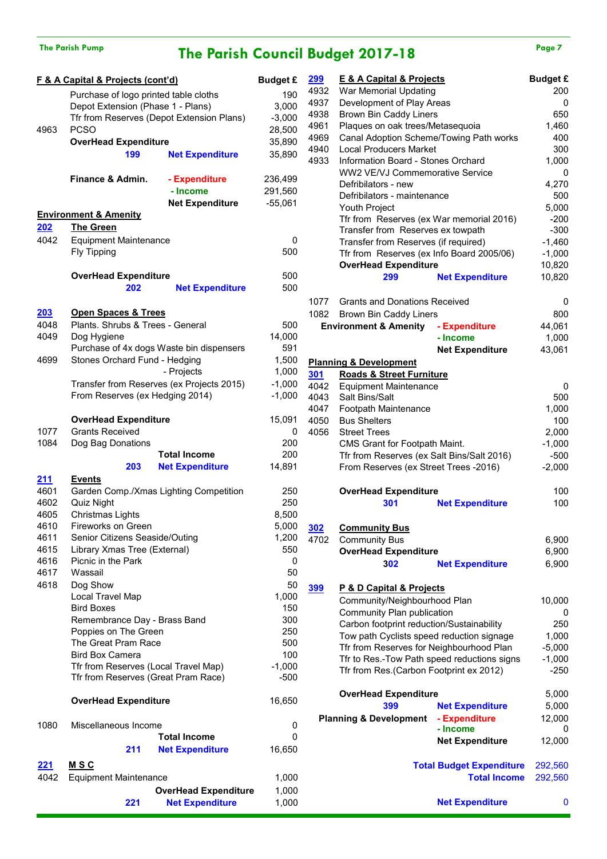## The Parish Pump **The Parish Council Budget 2017-18** Page 7

|             | <b>F &amp; A Capital &amp; Projects (cont'd)</b> |                                           | <b>Budget £</b> |
|-------------|--------------------------------------------------|-------------------------------------------|-----------------|
|             | Purchase of logo printed table cloths            |                                           | 190             |
|             | Depot Extension (Phase 1 - Plans)                |                                           | 3,000           |
|             |                                                  | Tfr from Reserves (Depot Extension Plans) | $-3,000$        |
| 4963        | <b>PCSO</b>                                      |                                           | 28,500          |
|             | <b>OverHead Expenditure</b>                      |                                           | 35,890          |
|             | 199                                              | <b>Net Expenditure</b>                    | 35,890          |
|             |                                                  |                                           |                 |
|             | Finance & Admin.                                 | - Expenditure                             | 236,499         |
|             |                                                  | - Income                                  | 291,560         |
|             |                                                  | <b>Net Expenditure</b>                    | $-55,061$       |
|             | <b>Environment &amp; Amenity</b>                 |                                           |                 |
| 202         | <b>The Green</b>                                 |                                           |                 |
| 4042        | <b>Equipment Maintenance</b>                     |                                           | 0               |
|             | <b>Fly Tipping</b>                               |                                           | 500             |
|             |                                                  |                                           |                 |
|             | <b>OverHead Expenditure</b>                      |                                           | 500             |
|             | 202                                              | <b>Net Expenditure</b>                    | 500             |
|             |                                                  |                                           |                 |
| <u> 203</u> | <b>Open Spaces &amp; Trees</b>                   |                                           |                 |
| 4048        | Plants. Shrubs & Trees - General                 |                                           | 500             |
| 4049        | Dog Hygiene                                      |                                           | 14,000          |
|             |                                                  | Purchase of 4x dogs Waste bin dispensers  | 591             |
| 4699        | Stones Orchard Fund - Hedging                    |                                           | 1,500           |
|             |                                                  | - Projects                                | 1,000           |
|             |                                                  | Transfer from Reserves (ex Projects 2015) | $-1,000$        |
|             | From Reserves (ex Hedging 2014)                  |                                           | $-1,000$        |
|             |                                                  |                                           |                 |
|             | <b>OverHead Expenditure</b>                      |                                           | 15,091          |
| 1077        | <b>Grants Received</b>                           |                                           | 0               |
| 1084        | Dog Bag Donations                                |                                           | 200             |
|             |                                                  | <b>Total Income</b>                       | 200             |
|             | 203                                              | <b>Net Expenditure</b>                    | 14,891          |
| 211         | <b>Events</b>                                    |                                           |                 |
| 4601        |                                                  | Garden Comp./Xmas Lighting Competition    | 250             |
| 4602        | Quiz Night                                       |                                           | 250             |
| 4605        | <b>Christmas Lights</b>                          |                                           | 8,500           |
| 4610        | <b>Fireworks on Green</b>                        |                                           | 5,000           |
| 4611        | Senior Citizens Seaside/Outing                   |                                           | 1,200           |
| 4615        | Library Xmas Tree (External)                     |                                           | 550             |
| 4616        | Picnic in the Park                               |                                           | 0               |
| 4617        | Wassail                                          |                                           | 50              |
| 4618        | Dog Show                                         |                                           | 50              |
|             | Local Travel Map                                 |                                           | 1,000           |
|             | <b>Bird Boxes</b>                                |                                           | 150             |
|             | Remembrance Day - Brass Band                     |                                           | 300             |
|             | Poppies on The Green                             |                                           | 250             |
|             | The Great Pram Race                              |                                           | 500             |
|             | <b>Bird Box Camera</b>                           |                                           | 100             |
|             | Tfr from Reserves (Local Travel Map)             |                                           | $-1,000$        |
|             | Tfr from Reserves (Great Pram Race)              |                                           | $-500$          |
|             | <b>OverHead Expenditure</b>                      |                                           | 16,650          |
|             |                                                  |                                           |                 |
| 1080        | Miscellaneous Income                             |                                           | 0               |
|             |                                                  | Total Income                              | 0               |
|             | 211                                              | <b>Net Expenditure</b>                    | 16,650          |
| 221         | <u>M S C</u>                                     |                                           |                 |
| 4042        | <b>Equipment Maintenance</b>                     |                                           | 1,000           |
|             |                                                  | <b>OverHead Expenditure</b>               | 1,000           |
|             | 221                                              | <b>Net Expenditure</b>                    | 1,000           |
|             |                                                  |                                           |                 |

| 299        | <b>E &amp; A Capital &amp; Projects</b>     |                                 | <b>Budget £</b> |
|------------|---------------------------------------------|---------------------------------|-----------------|
| 4932       | War Memorial Updating                       | 200                             |                 |
| 4937       | Development of Play Areas                   | 0                               |                 |
| 4938       | <b>Brown Bin Caddy Liners</b>               | 650                             |                 |
| 4961       | Plaques on oak trees/Metasequoia            | 1,460                           |                 |
| 4969       | Canal Adoption Scheme/Towing Path works     | 400                             |                 |
| 4940       | <b>Local Producers Market</b>               | 300                             |                 |
| 4933       | Information Board - Stones Orchard          | 1,000                           |                 |
|            | WW2 VE/VJ Commemorative Service             |                                 | 0               |
|            | Defribilators - new                         |                                 | 4,270           |
|            | Defribilators - maintenance                 |                                 | 500             |
|            | Youth Project                               |                                 | 5,000           |
|            | Tfr from Reserves (ex War memorial 2016)    |                                 | $-200$          |
|            | Transfer from Reserves ex towpath           |                                 | $-300$          |
|            | Transfer from Reserves (if required)        |                                 | $-1,460$        |
|            | Tfr from Reserves (ex Info Board 2005/06)   |                                 | $-1,000$        |
|            | <b>OverHead Expenditure</b>                 |                                 | 10,820          |
|            | 299                                         | <b>Net Expenditure</b>          | 10,820          |
| 1077       | <b>Grants and Donations Received</b>        |                                 | 0               |
| 1082       | Brown Bin Caddy Liners                      |                                 | 800             |
|            |                                             |                                 |                 |
|            | <b>Environment &amp; Amenity</b>            | - Expenditure<br>- Income       | 44,061<br>1,000 |
|            |                                             | <b>Net Expenditure</b>          | 43,061          |
|            | <b>Planning &amp; Development</b>           |                                 |                 |
| <u>301</u> | <b>Roads &amp; Street Furniture</b>         |                                 |                 |
| 4042       | <b>Equipment Maintenance</b>                |                                 | 0               |
| 4043       | Salt Bins/Salt                              |                                 | 500             |
| 4047       | Footpath Maintenance                        |                                 | 1,000           |
| 4050       | <b>Bus Shelters</b>                         |                                 | 100             |
| 4056       | <b>Street Trees</b>                         |                                 | 2,000           |
|            | CMS Grant for Footpath Maint.               |                                 | $-1,000$        |
|            | Tfr from Reserves (ex Salt Bins/Salt 2016)  |                                 | $-500$          |
|            | From Reserves (ex Street Trees -2016)       |                                 | $-2,000$        |
|            | <b>OverHead Expenditure</b>                 |                                 | 100             |
|            | 301                                         | <b>Net Expenditure</b>          | 100             |
|            |                                             |                                 |                 |
| 302        | <b>Community Bus</b>                        |                                 |                 |
| 4702       | <b>Community Bus</b>                        |                                 | 6,900           |
|            | <b>OverHead Expenditure</b>                 |                                 | 6,900           |
|            | 302                                         | <b>Net Expenditure</b>          | 6,900           |
| <u>399</u> | <u>P &amp; D Capital &amp; Projects</u>     |                                 |                 |
|            | Community/Neighbourhood Plan                |                                 | 10,000          |
|            | Community Plan publication                  |                                 | 0               |
|            | Carbon footprint reduction/Sustainability   |                                 | 250             |
|            | Tow path Cyclists speed reduction signage   |                                 | 1,000           |
|            | Tfr from Reserves for Neighbourhood Plan    |                                 | $-5,000$        |
|            | Tfr to Res.-Tow Path speed reductions signs |                                 | $-1,000$        |
|            | Tfr from Res.(Carbon Footprint ex 2012)     |                                 | $-250$          |
|            |                                             |                                 |                 |
|            | <b>OverHead Expenditure</b>                 |                                 | 5,000           |
|            | 399                                         | <b>Net Expenditure</b>          | 5,000           |
|            | <b>Planning &amp; Development</b>           | - Expenditure<br>- Income       | 12,000<br>0     |
|            |                                             | <b>Net Expenditure</b>          |                 |
|            |                                             |                                 | 12,000          |
|            |                                             | <b>Total Budget Expenditure</b> | 292,560         |
|            |                                             | <b>Total Income</b>             | 292,560         |
|            |                                             |                                 |                 |

**Net Expenditure** 0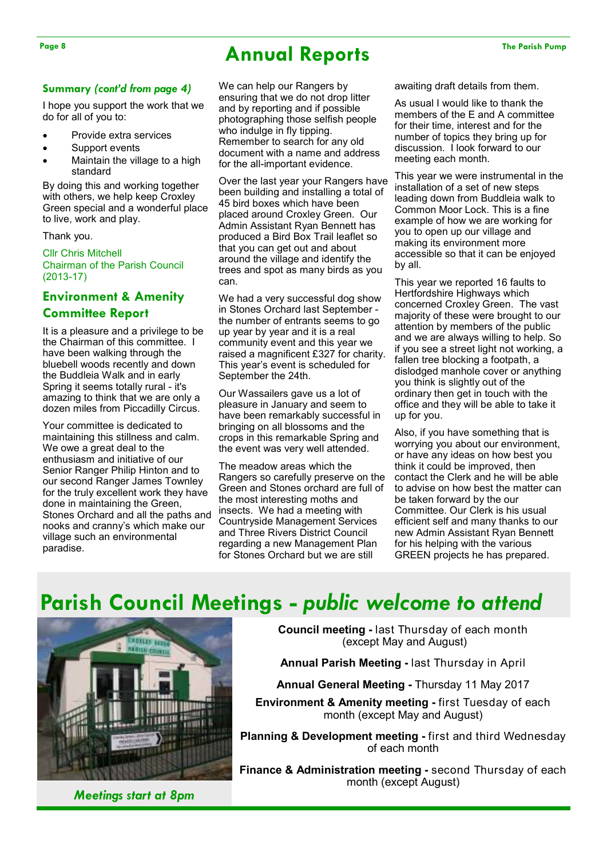## Page 8 The Parish Pump **Annual Reports** The Parish Pump

### **Summary** *(cont'd from page 4)*

I hope you support the work that we do for all of you to:

- Provide extra services
- Support events
- Maintain the village to a high standard

By doing this and working together with others, we help keep Croxley Green special and a wonderful place to live, work and play.

Thank you.

Cllr Chris Mitchell Chairman of the Parish Council (2013-17)

## **Environment & Amenity Committee Report**

It is a pleasure and a privilege to be the Chairman of this committee. I have been walking through the bluebell woods recently and down the Buddleia Walk and in early Spring it seems totally rural - it's amazing to think that we are only a dozen miles from Piccadilly Circus.

Your committee is dedicated to maintaining this stillness and calm. We owe a great deal to the enthusiasm and initiative of our Senior Ranger Philip Hinton and to our second Ranger James Townley for the truly excellent work they have done in maintaining the Green, Stones Orchard and all the paths and nooks and cranny's which make our village such an environmental paradise.

We can help our Rangers by ensuring that we do not drop litter and by reporting and if possible photographing those selfish people who indulge in fly tipping. Remember to search for any old document with a name and address for the all-important evidence.

Over the last year your Rangers have been building and installing a total of 45 bird boxes which have been placed around Croxley Green. Our Admin Assistant Ryan Bennett has produced a Bird Box Trail leaflet so that you can get out and about around the village and identify the trees and spot as many birds as you can.

We had a very successful dog show in Stones Orchard last September the number of entrants seems to go up year by year and it is a real community event and this year we raised a magnificent £327 for charity. This year's event is scheduled for September the 24th.

Our Wassailers gave us a lot of pleasure in January and seem to have been remarkably successful in bringing on all blossoms and the crops in this remarkable Spring and the event was very well attended.

The meadow areas which the Rangers so carefully preserve on the Green and Stones orchard are full of the most interesting moths and insects. We had a meeting with Countryside Management Services and Three Rivers District Council regarding a new Management Plan for Stones Orchard but we are still

awaiting draft details from them.

As usual I would like to thank the members of the E and A committee for their time, interest and for the number of topics they bring up for discussion. I look forward to our meeting each month.

This year we were instrumental in the installation of a set of new steps leading down from Buddleia walk to Common Moor Lock. This is a fine example of how we are working for you to open up our village and making its environment more accessible so that it can be enjoyed by all.

This year we reported 16 faults to Hertfordshire Highways which concerned Croxley Green. The vast majority of these were brought to our attention by members of the public and we are always willing to help. So if you see a street light not working, a fallen tree blocking a footpath, a dislodged manhole cover or anything you think is slightly out of the ordinary then get in touch with the office and they will be able to take it up for you.

Also, if you have something that is worrying you about our environment, or have any ideas on how best you think it could be improved, then contact the Clerk and he will be able to advise on how best the matter can be taken forward by the our Committee. Our Clerk is his usual efficient self and many thanks to our new Admin Assistant Ryan Bennett for his helping with the various GREEN projects he has prepared.

## **Parish Council Meetings -** *public welcome to attend*



*Meetings start at 8pm* 

**Council meeting -** last Thursday of each month (except May and August)

**Annual Parish Meeting -** last Thursday in April

**Annual General Meeting -** Thursday 11 May 2017

**Environment & Amenity meeting - first Tuesday of each** month (except May and August)

**Planning & Development meeting -** first and third Wednesday of each month

**Finance & Administration meeting -** second Thursday of each month (except August)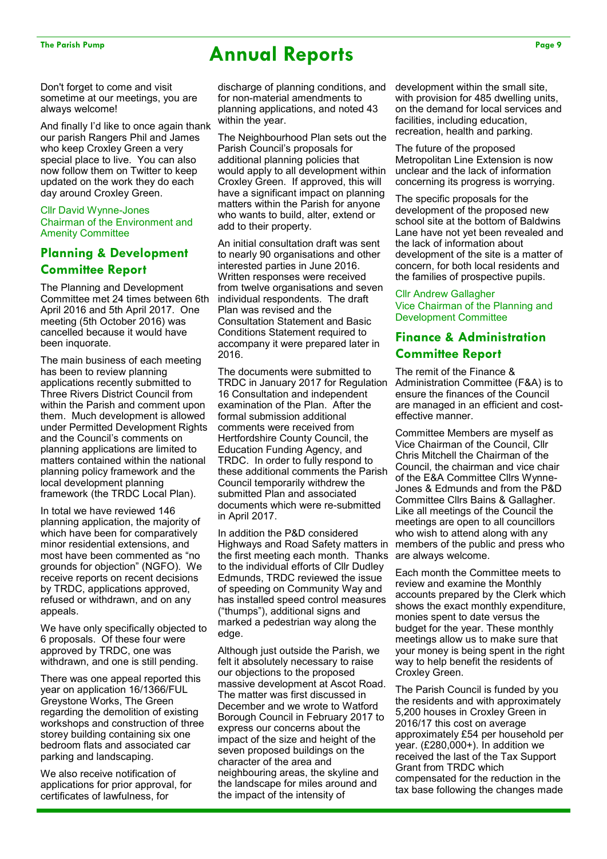## The Parish Pump Page 9 **Annual Reports Page 9**

Don't forget to come and visit sometime at our meetings, you are always welcome!

And finally I'd like to once again thank our parish Rangers Phil and James who keep Croxley Green a very special place to live. You can also now follow them on Twitter to keep updated on the work they do each day around Croxley Green.

#### Cllr David Wynne-Jones Chairman of the Environment and Amenity Committee

## **Planning & Development Committee Report**

The Planning and Development Committee met 24 times between 6th April 2016 and 5th April 2017. One meeting (5th October 2016) was cancelled because it would have been inquorate.

The main business of each meeting has been to review planning applications recently submitted to Three Rivers District Council from within the Parish and comment upon them. Much development is allowed under Permitted Development Rights and the Council's comments on planning applications are limited to matters contained within the national planning policy framework and the local development planning framework (the TRDC Local Plan).

In total we have reviewed 146 planning application, the majority of which have been for comparatively minor residential extensions, and most have been commented as "no grounds for objection" (NGFO). We receive reports on recent decisions by TRDC, applications approved, refused or withdrawn, and on any appeals.

We have only specifically objected to 6 proposals. Of these four were approved by TRDC, one was withdrawn, and one is still pending.

There was one appeal reported this year on application 16/1366/FUL Greystone Works, The Green regarding the demolition of existing workshops and construction of three storey building containing six one bedroom flats and associated car parking and landscaping.

We also receive notification of applications for prior approval, for certificates of lawfulness, for

discharge of planning conditions, and for non-material amendments to planning applications, and noted 43 within the year.

The Neighbourhood Plan sets out the Parish Council's proposals for additional planning policies that would apply to all development within Croxley Green. If approved, this will have a significant impact on planning matters within the Parish for anyone who wants to build, alter, extend or add to their property.

An initial consultation draft was sent to nearly 90 organisations and other interested parties in June 2016. Written responses were received from twelve organisations and seven individual respondents. The draft Plan was revised and the Consultation Statement and Basic Conditions Statement required to accompany it were prepared later in 2016.

The documents were submitted to TRDC in January 2017 for Regulation 16 Consultation and independent examination of the Plan. After the formal submission additional comments were received from Hertfordshire County Council, the Education Funding Agency, and TRDC. In order to fully respond to these additional comments the Parish Council temporarily withdrew the submitted Plan and associated documents which were re-submitted in April 2017.

In addition the P&D considered Highways and Road Safety matters in the first meeting each month. Thanks to the individual efforts of Cllr Dudley Edmunds, TRDC reviewed the issue of speeding on Community Way and has installed speed control measures ("thumps"), additional signs and marked a pedestrian way along the edge.

Although just outside the Parish, we felt it absolutely necessary to raise our objections to the proposed massive development at Ascot Road. The matter was first discussed in December and we wrote to Watford Borough Council in February 2017 to express our concerns about the impact of the size and height of the seven proposed buildings on the character of the area and neighbouring areas, the skyline and the landscape for miles around and the impact of the intensity of

development within the small site, with provision for 485 dwelling units, on the demand for local services and facilities, including education, recreation, health and parking.

The future of the proposed Metropolitan Line Extension is now unclear and the lack of information concerning its progress is worrying.

The specific proposals for the development of the proposed new school site at the bottom of Baldwins Lane have not yet been revealed and the lack of information about development of the site is a matter of concern, for both local residents and the families of prospective pupils.

#### Cllr Andrew Gallagher Vice Chairman of the Planning and Development Committee

## **Finance & Administration Committee Report**

The remit of the Finance & Administration Committee (F&A) is to ensure the finances of the Council are managed in an efficient and costeffective manner.

Committee Members are myself as Vice Chairman of the Council, Cllr Chris Mitchell the Chairman of the Council, the chairman and vice chair of the E&A Committee Cllrs Wynne-Jones & Edmunds and from the P&D Committee Cllrs Bains & Gallagher. Like all meetings of the Council the meetings are open to all councillors who wish to attend along with any members of the public and press who are always welcome.

Each month the Committee meets to review and examine the Monthly accounts prepared by the Clerk which shows the exact monthly expenditure, monies spent to date versus the budget for the year. These monthly meetings allow us to make sure that your money is being spent in the right way to help benefit the residents of Croxley Green.

The Parish Council is funded by you the residents and with approximately 5,200 houses in Croxley Green in 2016/17 this cost on average approximately £54 per household per year. (£280,000+). In addition we received the last of the Tax Support Grant from TRDC which compensated for the reduction in the tax base following the changes made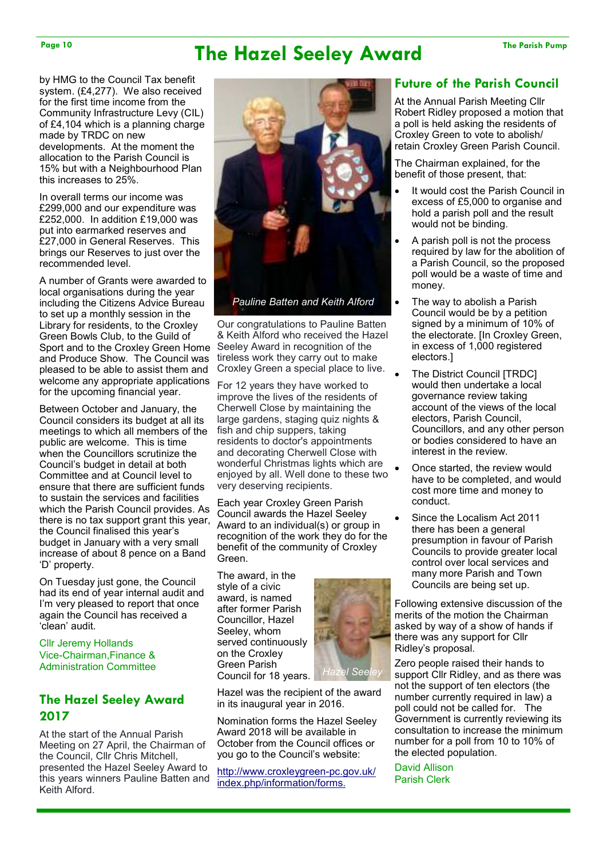## Page 10 The Hazel Seeley Award The Parish Pump

by HMG to the Council Tax benefit system. (£4,277). We also received for the first time income from the Community Infrastructure Levy (CIL) of £4,104 which is a planning charge made by TRDC on new developments. At the moment the allocation to the Parish Council is 15% but with a Neighbourhood Plan this increases to 25%.

In overall terms our income was £299,000 and our expenditure was £252,000. In addition £19,000 was put into earmarked reserves and £27,000 in General Reserves. This brings our Reserves to just over the recommended level.

A number of Grants were awarded to local organisations during the year including the Citizens Advice Bureau to set up a monthly session in the Library for residents, to the Croxley Green Bowls Club, to the Guild of Sport and to the Croxley Green Home and Produce Show. The Council was pleased to be able to assist them and welcome any appropriate applications for the upcoming financial year.

Between October and January, the Council considers its budget at all its meetings to which all members of the public are welcome. This is time when the Councillors scrutinize the Council's budget in detail at both Committee and at Council level to ensure that there are sufficient funds to sustain the services and facilities which the Parish Council provides. As there is no tax support grant this year, the Council finalised this year's budget in January with a very small increase of about 8 pence on a Band 'D' property.

On Tuesday just gone, the Council had its end of year internal audit and I'm very pleased to report that once again the Council has received a 'clean' audit.

Cllr Jeremy Hollands Vice-Chairman,Finance & Administration Committee

### **The Hazel Seeley Award 2017**

At the start of the Annual Parish Meeting on 27 April, the Chairman of the Council, Cllr Chris Mitchell, presented the Hazel Seeley Award to this years winners Pauline Batten and Keith Alford.



*Pauline Batten and Keith Alford* 

Our congratulations to Pauline Batten & Keith Alford who received the Hazel Seeley Award in recognition of the tireless work they carry out to make Croxley Green a special place to live.

For 12 years they have worked to improve the lives of the residents of Cherwell Close by maintaining the large gardens, staging quiz nights & fish and chip suppers, taking residents to doctor's appointments and decorating Cherwell Close with wonderful Christmas lights which are enjoyed by all. Well done to these two very deserving recipients.

Each year Croxley Green Parish Council awards the Hazel Seeley Award to an individual(s) or group in recognition of the work they do for the benefit of the community of Croxley Green.

The award, in the style of a civic award, is named after former Parish Councillor, Hazel Seeley, whom served continuously on the Croxley Green Parish Council for 18 years.



Hazel was the recipient of the award in its inaugural year in 2016.

Nomination forms the Hazel Seeley Award 2018 will be available in October from the Council offices or you go to the Council's website:

http://www.croxleygreen-pc.gov.uk/ index.php/information/forms.

## **Future of the Parish Council**

At the Annual Parish Meeting Cllr Robert Ridley proposed a motion that a poll is held asking the residents of Croxley Green to vote to abolish/ retain Croxley Green Parish Council.

The Chairman explained, for the benefit of those present, that:

- It would cost the Parish Council in excess of £5,000 to organise and hold a parish poll and the result would not be binding.
- A parish poll is not the process required by law for the abolition of a Parish Council, so the proposed poll would be a waste of time and money.
- The way to abolish a Parish Council would be by a petition signed by a minimum of 10% of the electorate. [In Croxley Green, in excess of 1,000 registered electors.]
- The District Council [TRDC] would then undertake a local governance review taking account of the views of the local electors, Parish Council, Councillors, and any other person or bodies considered to have an interest in the review.
- Once started, the review would have to be completed, and would cost more time and money to conduct.
- Since the Localism Act 2011 there has been a general presumption in favour of Parish Councils to provide greater local control over local services and many more Parish and Town Councils are being set up.

Following extensive discussion of the merits of the motion the Chairman asked by way of a show of hands if there was any support for Cllr Ridley's proposal.

Zero people raised their hands to support Cllr Ridley, and as there was not the support of ten electors (the number currently required in law) a poll could not be called for. The Government is currently reviewing its consultation to increase the minimum number for a poll from 10 to 10% of the elected population.

David Allison Parish Clerk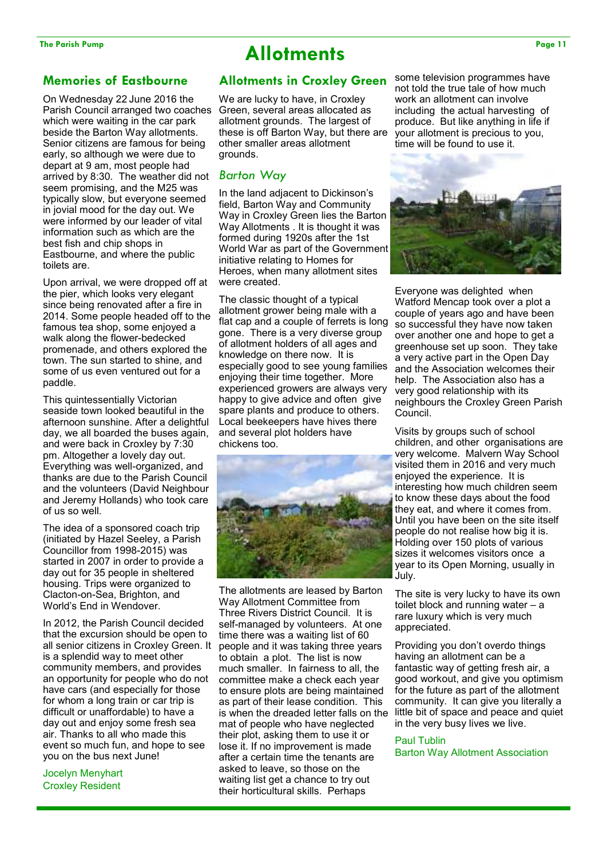## The Parish Pump Page 11 **Allotments Page 11**

### **Memories of Eastbourne**

On Wednesday 22 June 2016 the Parish Council arranged two coaches which were waiting in the car park beside the Barton Way allotments. Senior citizens are famous for being early, so although we were due to depart at 9 am, most people had arrived by 8:30. The weather did not seem promising, and the M25 was typically slow, but everyone seemed in jovial mood for the day out. We were informed by our leader of vital information such as which are the best fish and chip shops in Eastbourne, and where the public toilets are.

Upon arrival, we were dropped off at the pier, which looks very elegant since being renovated after a fire in 2014. Some people headed off to the famous tea shop, some enjoyed a walk along the flower-bedecked promenade, and others explored the town. The sun started to shine, and some of us even ventured out for a paddle.

This quintessentially Victorian seaside town looked beautiful in the afternoon sunshine. After a delightful day, we all boarded the buses again, and were back in Croxley by 7:30 pm. Altogether a lovely day out. Everything was well-organized, and thanks are due to the Parish Council and the volunteers (David Neighbour and Jeremy Hollands) who took care of us so well.

The idea of a sponsored coach trip (initiated by Hazel Seeley, a Parish Councillor from 1998-2015) was started in 2007 in order to provide a day out for 35 people in sheltered housing. Trips were organized to Clacton-on-Sea, Brighton, and World's End in Wendover.

In 2012, the Parish Council decided that the excursion should be open to all senior citizens in Croxley Green. It is a splendid way to meet other community members, and provides an opportunity for people who do not have cars (and especially for those for whom a long train or car trip is difficult or unaffordable) to have a day out and enjoy some fresh sea air. Thanks to all who made this event so much fun, and hope to see you on the bus next June!

Jocelyn Menyhart Croxley Resident

### **Allotments in Croxley Green**

We are lucky to have, in Croxley Green, several areas allocated as allotment grounds. The largest of these is off Barton Way, but there are other smaller areas allotment grounds.

### *Barton Way*

In the land adjacent to Dickinson's field, Barton Way and Community Way in Croxley Green lies the Barton Way Allotments . It is thought it was formed during 1920s after the 1st World War as part of the Government initiative relating to Homes for Heroes, when many allotment sites were created.

The classic thought of a typical allotment grower being male with a flat cap and a couple of ferrets is long gone. There is a very diverse group of allotment holders of all ages and knowledge on there now. It is especially good to see young families enjoying their time together. More experienced growers are always very happy to give advice and often give spare plants and produce to others. Local beekeepers have hives there and several plot holders have chickens too.



The allotments are leased by Barton Way Allotment Committee from Three Rivers District Council. It is self-managed by volunteers. At one time there was a waiting list of 60 people and it was taking three years to obtain a plot. The list is now much smaller. In fairness to all, the committee make a check each year to ensure plots are being maintained as part of their lease condition. This is when the dreaded letter falls on the mat of people who have neglected their plot, asking them to use it or lose it. If no improvement is made after a certain time the tenants are asked to leave, so those on the waiting list get a chance to try out their horticultural skills. Perhaps

some television programmes have not told the true tale of how much work an allotment can involve including the actual harvesting of produce. But like anything in life if your allotment is precious to you, time will be found to use it.



Everyone was delighted when Watford Mencap took over a plot a couple of years ago and have been so successful they have now taken over another one and hope to get a greenhouse set up soon. They take a very active part in the Open Day and the Association welcomes their help. The Association also has a very good relationship with its neighbours the Croxley Green Parish Council.

Visits by groups such of school children, and other organisations are very welcome. Malvern Way School visited them in 2016 and very much enjoyed the experience. It is interesting how much children seem to know these days about the food they eat, and where it comes from. Until you have been on the site itself people do not realise how big it is. Holding over 150 plots of various sizes it welcomes visitors once a year to its Open Morning, usually in July.

The site is very lucky to have its own toilet block and running water – a rare luxury which is very much appreciated.

Providing you don't overdo things having an allotment can be a fantastic way of getting fresh air, a good workout, and give you optimism for the future as part of the allotment community. It can give you literally a little bit of space and peace and quiet in the very busy lives we live.

#### Paul Tublin Barton Way Allotment Association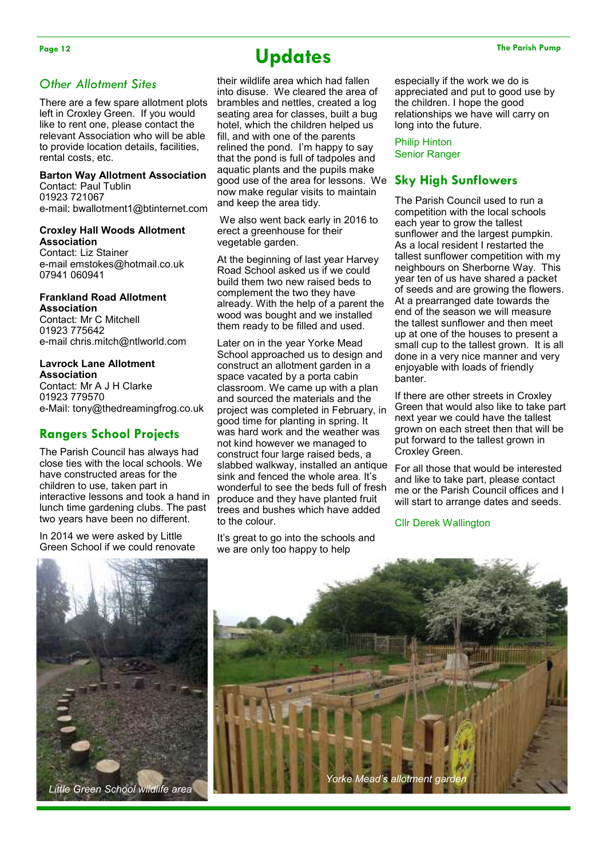## Page 12 The Parish Pump **Containers Updates Containers Containers Containers Containers Containers Containers**

their wildlife area which had fallen into disuse. We cleared the area of brambles and nettles, created a log seating area for classes, built a bug hotel, which the children helped us fill, and with one of the parents relined the pond. I'm happy to say that the pond is full of tadpoles and aquatic plants and the pupils make good use of the area for lessons. We now make regular visits to maintain and keep the area tidy.

 We also went back early in 2016 to erect a greenhouse for their vegetable garden.

At the beginning of last year Harvey Road School asked us if we could build them two new raised beds to complement the two they have already. With the help of a parent the wood was bought and we installed them ready to be filled and used.

Later on in the year Yorke Mead School approached us to design and construct an allotment garden in a space vacated by a porta cabin classroom. We came up with a plan and sourced the materials and the project was completed in February, in good time for planting in spring. It was hard work and the weather was not kind however we managed to construct four large raised beds, a slabbed walkway, installed an antique sink and fenced the whole area. It's wonderful to see the beds full of fresh produce and they have planted fruit trees and bushes which have added to the colour.

It's great to go into the schools and we are only too happy to help

especially if the work we do is appreciated and put to good use by the children. I hope the good relationships we have will carry on long into the future.

Philip Hinton Senior Ranger

### **Sky High Sunflowers**

The Parish Council used to run a competition with the local schools each year to grow the tallest sunflower and the largest pumpkin. As a local resident I restarted the tallest sunflower competition with my neighbours on Sherborne Way. This year ten of us have shared a packet of seeds and are growing the flowers. At a prearranged date towards the end of the season we will measure the tallest sunflower and then meet up at one of the houses to present a small cup to the tallest grown. It is all done in a very nice manner and very enjoyable with loads of friendly banter.

If there are other streets in Croxley Green that would also like to take part next year we could have the tallest grown on each street then that will be put forward to the tallest grown in Croxley Green.

For all those that would be interested and like to take part, please contact me or the Parish Council offices and I will start to arrange dates and seeds.

#### Cllr Derek Wallington







*Other Allotment Sites* 

rental costs, etc.

**Association**  Contact: Liz Stainer

07941 060941

**Association**

01923 775642

**Association** 

01923 779570

Contact: Paul Tublin 01923 721067

There are a few spare allotment plots left in Croxley Green. If you would like to rent one, please contact the relevant Association who will be able to provide location details, facilities,

**Barton Way Allotment Association**

e-mail: bwallotment1@btinternet.com

**Croxley Hall Woods Allotment** 

e-mail emstokes@hotmail.co.uk

e-mail chris.mitch@ntlworld.com

e-Mail: tony@thedreamingfrog.co.uk

interactive lessons and took a hand in lunch time gardening clubs. The past two years have been no different. In 2014 we were asked by Little Green School if we could renovate

**Rangers School Projects**  The Parish Council has always had close ties with the local schools. We have constructed areas for the children to use, taken part in

**Frankland Road Allotment** 

Contact: Mr C Mitchell

**Lavrock Lane Allotment** 

Contact: Mr A J H Clarke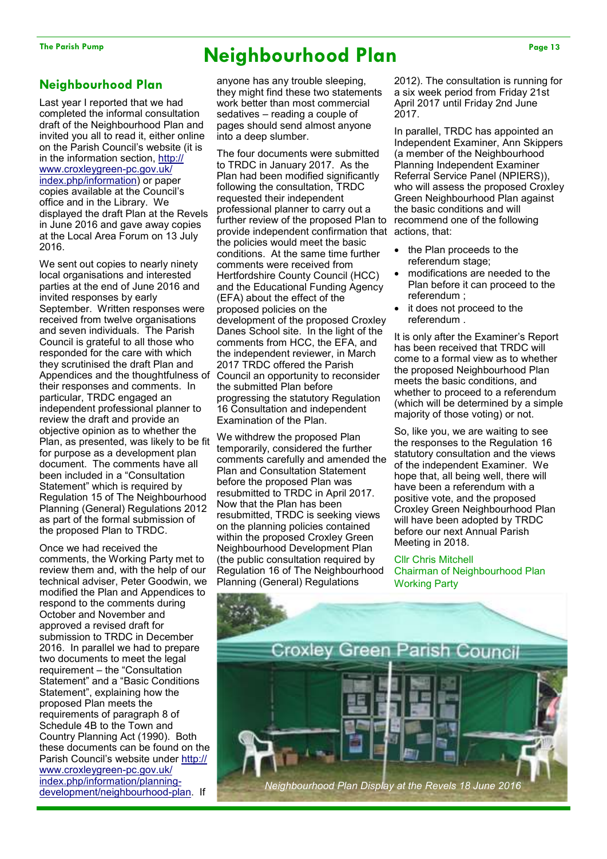### **Neighbourhood Plan**

Last year I reported that we had completed the informal consultation draft of the Neighbourhood Plan and invited you all to read it, either online on the Parish Council's website (it is in the information section, http:// www.croxleygreen-pc.gov.uk/ index.php/information) or paper copies available at the Council's office and in the Library. We displayed the draft Plan at the Revels in June 2016 and gave away copies at the Local Area Forum on 13 July 2016.

We sent out copies to nearly ninety local organisations and interested parties at the end of June 2016 and invited responses by early September. Written responses were received from twelve organisations and seven individuals. The Parish Council is grateful to all those who responded for the care with which they scrutinised the draft Plan and Appendices and the thoughtfulness of Council an opportunity to reconsider their responses and comments. In particular, TRDC engaged an independent professional planner to review the draft and provide an objective opinion as to whether the Plan, as presented, was likely to be fit for purpose as a development plan document. The comments have all been included in a "Consultation Statement" which is required by Regulation 15 of The Neighbourhood Planning (General) Regulations 2012 as part of the formal submission of the proposed Plan to TRDC.

Once we had received the comments, the Working Party met to review them and, with the help of our technical adviser, Peter Goodwin, we modified the Plan and Appendices to respond to the comments during October and November and approved a revised draft for submission to TRDC in December 2016. In parallel we had to prepare two documents to meet the legal requirement – the "Consultation Statement" and a "Basic Conditions Statement", explaining how the proposed Plan meets the requirements of paragraph 8 of Schedule 4B to the Town and Country Planning Act (1990). Both these documents can be found on the Parish Council's website under http:// www.croxleygreen-pc.gov.uk/ index.php/information/planningdevelopment/neighbourhood-plan. If

## **The Parish Pump Page 13 Neighbourhood Plan**

anyone has any trouble sleeping, they might find these two statements work better than most commercial sedatives – reading a couple of pages should send almost anyone into a deep slumber.

The four documents were submitted to TRDC in January 2017. As the Plan had been modified significantly following the consultation, TRDC requested their independent professional planner to carry out a further review of the proposed Plan to recommend one of the following provide independent confirmation that actions, that: the policies would meet the basic conditions. At the same time further comments were received from Hertfordshire County Council (HCC) and the Educational Funding Agency (EFA) about the effect of the proposed policies on the development of the proposed Croxley Danes School site. In the light of the comments from HCC, the EFA, and the independent reviewer, in March 2017 TRDC offered the Parish the submitted Plan before progressing the statutory Regulation 16 Consultation and independent Examination of the Plan.

We withdrew the proposed Plan temporarily, considered the further comments carefully and amended the Plan and Consultation Statement before the proposed Plan was resubmitted to TRDC in April 2017. Now that the Plan has been resubmitted, TRDC is seeking views on the planning policies contained within the proposed Croxley Green Neighbourhood Development Plan (the public consultation required by Regulation 16 of The Neighbourhood Planning (General) Regulations

2012). The consultation is running for a six week period from Friday 21st April 2017 until Friday 2nd June 2017.

In parallel, TRDC has appointed an Independent Examiner, Ann Skippers (a member of the Neighbourhood Planning Independent Examiner Referral Service Panel (NPIERS)), who will assess the proposed Croxley Green Neighbourhood Plan against the basic conditions and will

- the Plan proceeds to the referendum stage;
- modifications are needed to the Plan before it can proceed to the referendum ;
- it does not proceed to the referendum .

It is only after the Examiner's Report has been received that TRDC will come to a formal view as to whether the proposed Neighbourhood Plan meets the basic conditions, and whether to proceed to a referendum (which will be determined by a simple majority of those voting) or not.

So, like you, we are waiting to see the responses to the Regulation 16 statutory consultation and the views of the independent Examiner. We hope that, all being well, there will have been a referendum with a positive vote, and the proposed Croxley Green Neighbourhood Plan will have been adopted by TRDC before our next Annual Parish Meeting in 2018.

#### Cllr Chris Mitchell

Chairman of Neighbourhood Plan Working Party

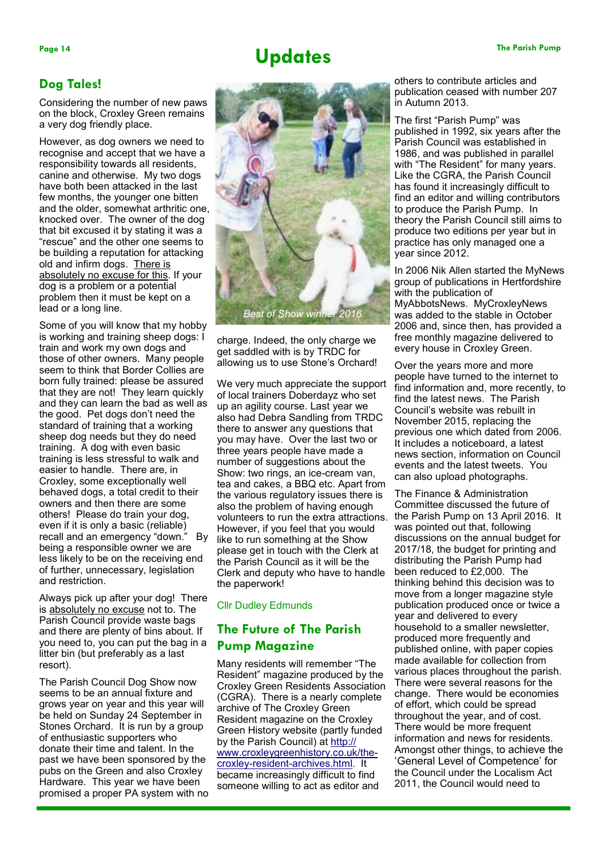## Page 14 The Parish Pump **Containers Updates Containers Containers Containers Containers Containers Containers**

### **Dog Tales!**

Considering the number of new paws on the block, Croxley Green remains a very dog friendly place.

However, as dog owners we need to recognise and accept that we have a responsibility towards all residents, canine and otherwise. My two dogs have both been attacked in the last few months, the younger one bitten and the older, somewhat arthritic one, knocked over. The owner of the dog that bit excused it by stating it was a "rescue" and the other one seems to be building a reputation for attacking old and infirm dogs. There is absolutely no excuse for this. If your dog is a problem or a potential problem then it must be kept on a lead or a long line.

Some of you will know that my hobby is working and training sheep dogs: I train and work my own dogs and those of other owners. Many people seem to think that Border Collies are born fully trained: please be assured that they are not! They learn quickly and they can learn the bad as well as the good. Pet dogs don't need the standard of training that a working sheep dog needs but they do need training. A dog with even basic training is less stressful to walk and easier to handle. There are, in Croxley, some exceptionally well behaved dogs, a total credit to their owners and then there are some others! Please do train your dog, even if it is only a basic (reliable) recall and an emergency "down." By being a responsible owner we are less likely to be on the receiving end of further, unnecessary, legislation and restriction.

Always pick up after your dog! There is absolutely no excuse not to. The Parish Council provide waste bags and there are plenty of bins about. If you need to, you can put the bag in a litter bin (but preferably as a last resort).

The Parish Council Dog Show now seems to be an annual fixture and grows year on year and this year will be held on Sunday 24 September in Stones Orchard. It is run by a group of enthusiastic supporters who donate their time and talent. In the past we have been sponsored by the pubs on the Green and also Croxley Hardware. This year we have been promised a proper PA system with no



charge. Indeed, the only charge we get saddled with is by TRDC for allowing us to use Stone's Orchard!

We very much appreciate the support of local trainers Doberdayz who set up an agility course. Last year we also had Debra Sandling from TRDC there to answer any questions that you may have. Over the last two or three years people have made a number of suggestions about the Show: two rings, an ice-cream van, tea and cakes, a BBQ etc. Apart from the various regulatory issues there is also the problem of having enough volunteers to run the extra attractions. However, if you feel that you would like to run something at the Show please get in touch with the Clerk at the Parish Council as it will be the Clerk and deputy who have to handle the paperwork!

#### Cllr Dudley Edmunds

### **The Future of The Parish Pump Magazine**

Many residents will remember "The Resident" magazine produced by the Croxley Green Residents Association (CGRA). There is a nearly complete archive of The Croxley Green Resident magazine on the Croxley Green History website (partly funded by the Parish Council) at http:// www.croxleygreenhistory.co.uk/thecroxley-resident-archives.html. It became increasingly difficult to find someone willing to act as editor and

others to contribute articles and publication ceased with number 207 in Autumn 2013.

The first "Parish Pump" was published in 1992, six years after the Parish Council was established in 1986, and was published in parallel with "The Resident" for many years. Like the CGRA, the Parish Council has found it increasingly difficult to find an editor and willing contributors to produce the Parish Pump. In theory the Parish Council still aims to produce two editions per year but in practice has only managed one a year since 2012.

In 2006 Nik Allen started the MyNews group of publications in Hertfordshire with the publication of MyAbbotsNews. MyCroxleyNews was added to the stable in October 2006 and, since then, has provided a free monthly magazine delivered to every house in Croxley Green.

Over the years more and more people have turned to the internet to find information and, more recently, to find the latest news. The Parish Council's website was rebuilt in November 2015, replacing the previous one which dated from 2006. It includes a noticeboard, a latest news section, information on Council events and the latest tweets. You can also upload photographs.

The Finance & Administration Committee discussed the future of the Parish Pump on 13 April 2016. It was pointed out that, following discussions on the annual budget for 2017/18, the budget for printing and distributing the Parish Pump had been reduced to £2,000. The thinking behind this decision was to move from a longer magazine style publication produced once or twice a year and delivered to every household to a smaller newsletter, produced more frequently and published online, with paper copies made available for collection from various places throughout the parish. There were several reasons for the change. There would be economies of effort, which could be spread throughout the year, and of cost. There would be more frequent information and news for residents. Amongst other things, to achieve the 'General Level of Competence' for the Council under the Localism Act 2011, the Council would need to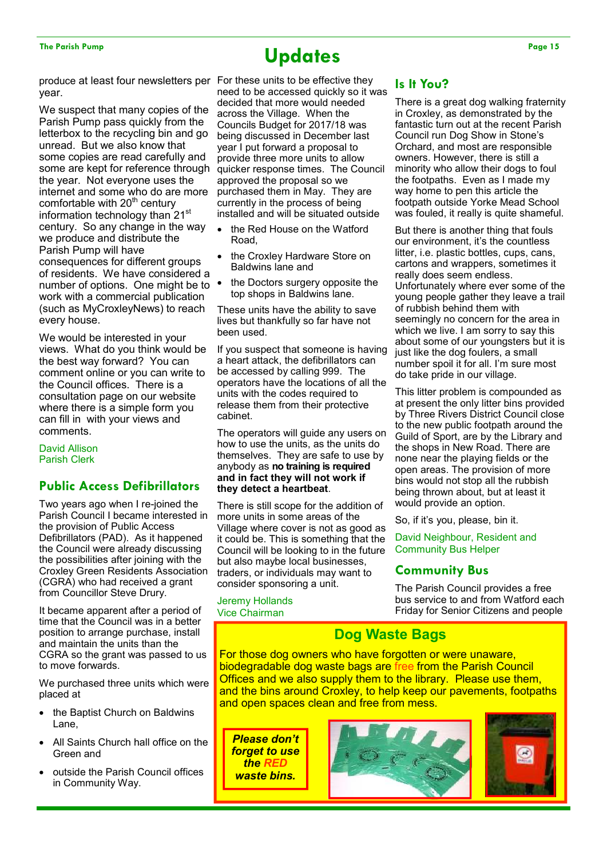## The Parish Pump Page 15 **Discrete Parish Pump Page 15**

year.

We suspect that many copies of the Parish Pump pass quickly from the letterbox to the recycling bin and go unread. But we also know that some copies are read carefully and some are kept for reference through the year. Not everyone uses the internet and some who do are more comfortable with  $20<sup>th</sup>$  century information technology than 21<sup>st</sup> century. So any change in the way we produce and distribute the Parish Pump will have consequences for different groups of residents. We have considered a number of options. One might be to work with a commercial publication (such as MyCroxleyNews) to reach every house.

We would be interested in your views. What do you think would be the best way forward? You can comment online or you can write to the Council offices. There is a consultation page on our website where there is a simple form you can fill in with your views and comments.

David Allison Parish Clerk

### **Public Access Defibrillators**

Two years ago when I re-joined the Parish Council I became interested in the provision of Public Access Defibrillators (PAD). As it happened the Council were already discussing the possibilities after joining with the Croxley Green Residents Association (CGRA) who had received a grant from Councillor Steve Drury.

It became apparent after a period of time that the Council was in a better position to arrange purchase, install and maintain the units than the CGRA so the grant was passed to us to move forwards.

We purchased three units which were placed at

- the Baptist Church on Baldwins Lane,
- All Saints Church hall office on the Green and
- outside the Parish Council offices in Community Way.

produce at least four newsletters per For these units to be effective they need to be accessed quickly so it was decided that more would needed across the Village. When the Councils Budget for 2017/18 was being discussed in December last year I put forward a proposal to provide three more units to allow quicker response times. The Council approved the proposal so we purchased them in May. They are currently in the process of being installed and will be situated outside

- the Red House on the Watford Road,
- the Croxley Hardware Store on Baldwins lane and
- the Doctors surgery opposite the top shops in Baldwins lane.

These units have the ability to save lives but thankfully so far have not been used.

If you suspect that someone is having a heart attack, the defibrillators can be accessed by calling 999. The operators have the locations of all the units with the codes required to release them from their protective cabinet.

The operators will guide any users on how to use the units, as the units do themselves. They are safe to use by anybody as **no training is required and in fact they will not work if they detect a heartbeat**.

There is still scope for the addition of more units in some areas of the Village where cover is not as good as it could be. This is something that the Council will be looking to in the future but also maybe local businesses, traders, or individuals may want to consider sponsoring a unit.

Jeremy Hollands Vice Chairman

### **Is It You?**

There is a great dog walking fraternity in Croxley, as demonstrated by the fantastic turn out at the recent Parish Council run Dog Show in Stone's Orchard, and most are responsible owners. However, there is still a minority who allow their dogs to foul the footpaths. Even as I made my way home to pen this article the footpath outside Yorke Mead School was fouled, it really is quite shameful.

But there is another thing that fouls our environment, it's the countless litter, i.e. plastic bottles, cups, cans, cartons and wrappers, sometimes it really does seem endless. Unfortunately where ever some of the young people gather they leave a trail of rubbish behind them with seemingly no concern for the area in which we live. I am sorry to say this about some of our youngsters but it is just like the dog foulers, a small number spoil it for all. I'm sure most do take pride in our village.

This litter problem is compounded as at present the only litter bins provided by Three Rivers District Council close to the new public footpath around the Guild of Sport, are by the Library and the shops in New Road. There are none near the playing fields or the open areas. The provision of more bins would not stop all the rubbish being thrown about, but at least it would provide an option.

So, if it's you, please, bin it.

David Neighbour, Resident and Community Bus Helper

### **Community Bus**

The Parish Council provides a free bus service to and from Watford each Friday for Senior Citizens and people

### **Dog Waste Bags**

For those dog owners who have forgotten or were unaware, biodegradable dog waste bags are free from the Parish Council Offices and we also supply them to the library. Please use them, and the bins around Croxley, to help keep our pavements, footpaths and open spaces clean and free from mess.

*Please don't forget to use the RED waste bins.*